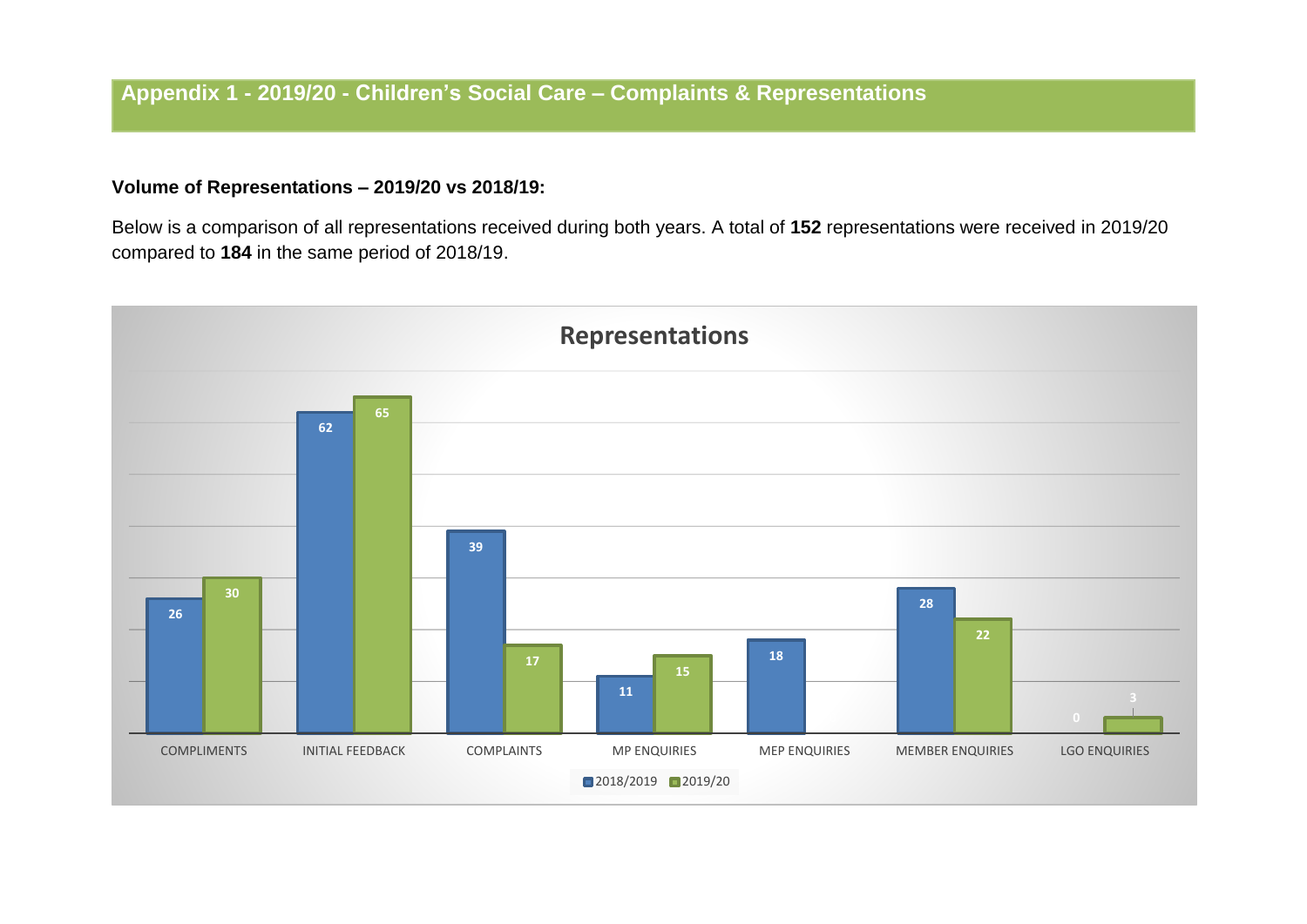## **Volume of Representations – 2019/20 vs 2018/19:**

Below is a comparison of all representations received during both years. A total of **152** representations were received in 2019/20 compared to **184** in the same period of 2018/19.

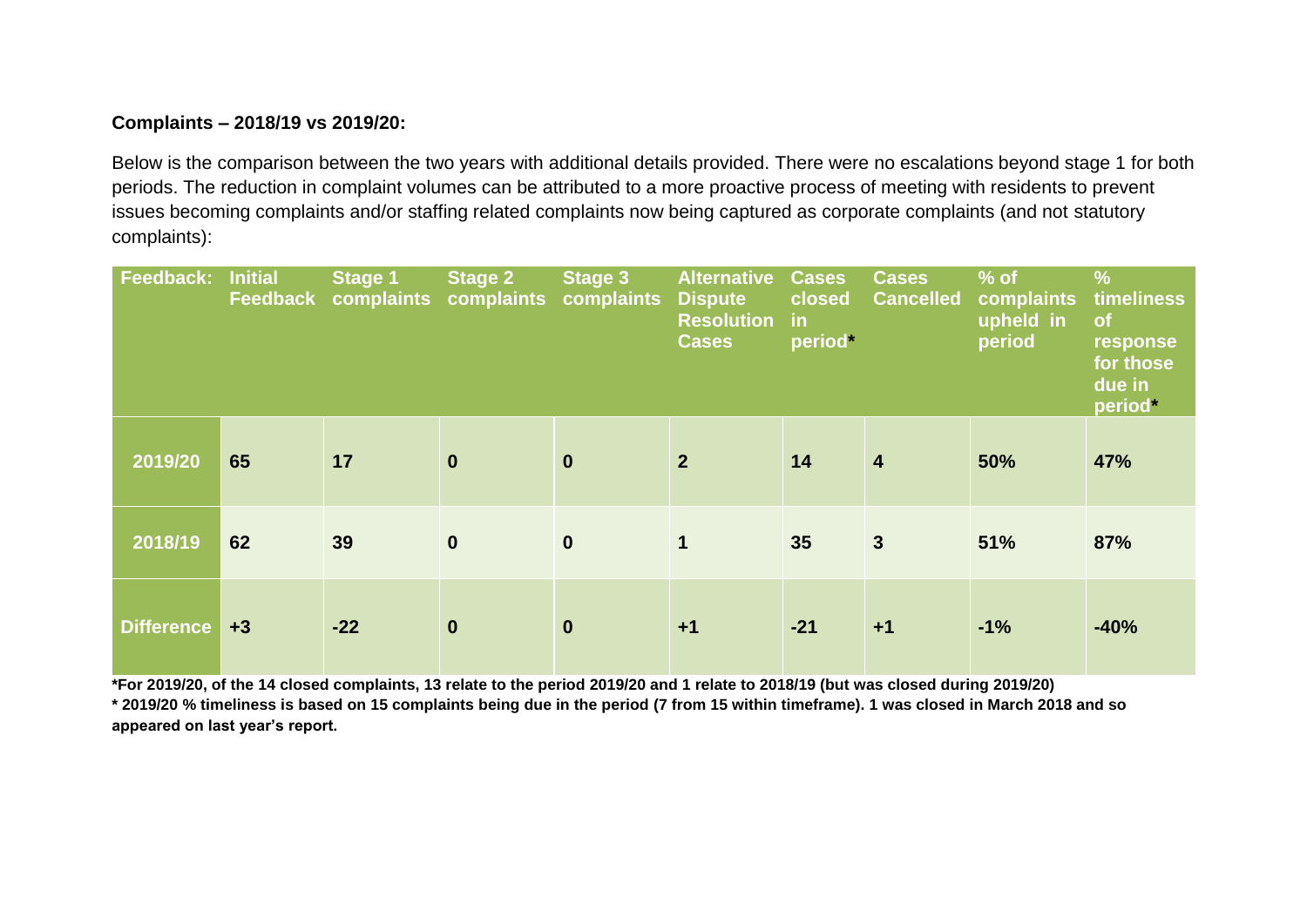#### **Complaints – 2018/19 vs 2019/20:**

Below is the comparison between the two years with additional details provided. There were no escalations beyond stage 1 for both periods. The reduction in complaint volumes can be attributed to a more proactive process of meeting with residents to prevent issues becoming complaints and/or staffing related complaints now being captured as corporate complaints (and not statutory complaints):

| <b>Feedback: Initial</b> |      | <b>Stage 1</b><br>Feedback complaints complaints complaints | <b>Stage 2</b> | <b>Stage 3</b> | <b>Alternative</b><br><b>Dispute</b><br><b>Resolution</b><br><b>Cases</b> | <b>Cases</b><br>closed<br>$\mathsf{in}$<br>period* | <b>Cases</b><br><b>Cancelled</b> | $%$ of<br>complaints<br>upheld in<br>period | $\frac{9}{6}$<br>timeliness<br>of<br>response<br>for those<br>due in<br>period* |
|--------------------------|------|-------------------------------------------------------------|----------------|----------------|---------------------------------------------------------------------------|----------------------------------------------------|----------------------------------|---------------------------------------------|---------------------------------------------------------------------------------|
| 2019/20                  | 65   | 17                                                          | $\mathbf 0$    | $\mathbf 0$    | 2 <sup>2</sup>                                                            | 14                                                 | $\overline{\mathbf{4}}$          | 50%                                         | 47%                                                                             |
| 2018/19                  | 62   | 39                                                          | $\mathbf 0$    | $\mathbf 0$    | $\mathbf 1$                                                               | 35                                                 | $\mathbf{3}$                     | 51%                                         | 87%                                                                             |
| <b>Difference</b>        | $+3$ | $-22$                                                       | $\mathbf 0$    | $\mathbf 0$    | $+1$                                                                      | $-21$                                              | $+1$                             | $-1%$                                       | $-40%$                                                                          |

**\*For 2019/20, of the 14 closed complaints, 13 relate to the period 2019/20 and 1 relate to 2018/19 (but was closed during 2019/20)**

**\* 2019/20 % timeliness is based on 15 complaints being due in the period (7 from 15 within timeframe). 1 was closed in March 2018 and so appeared on last year's report.**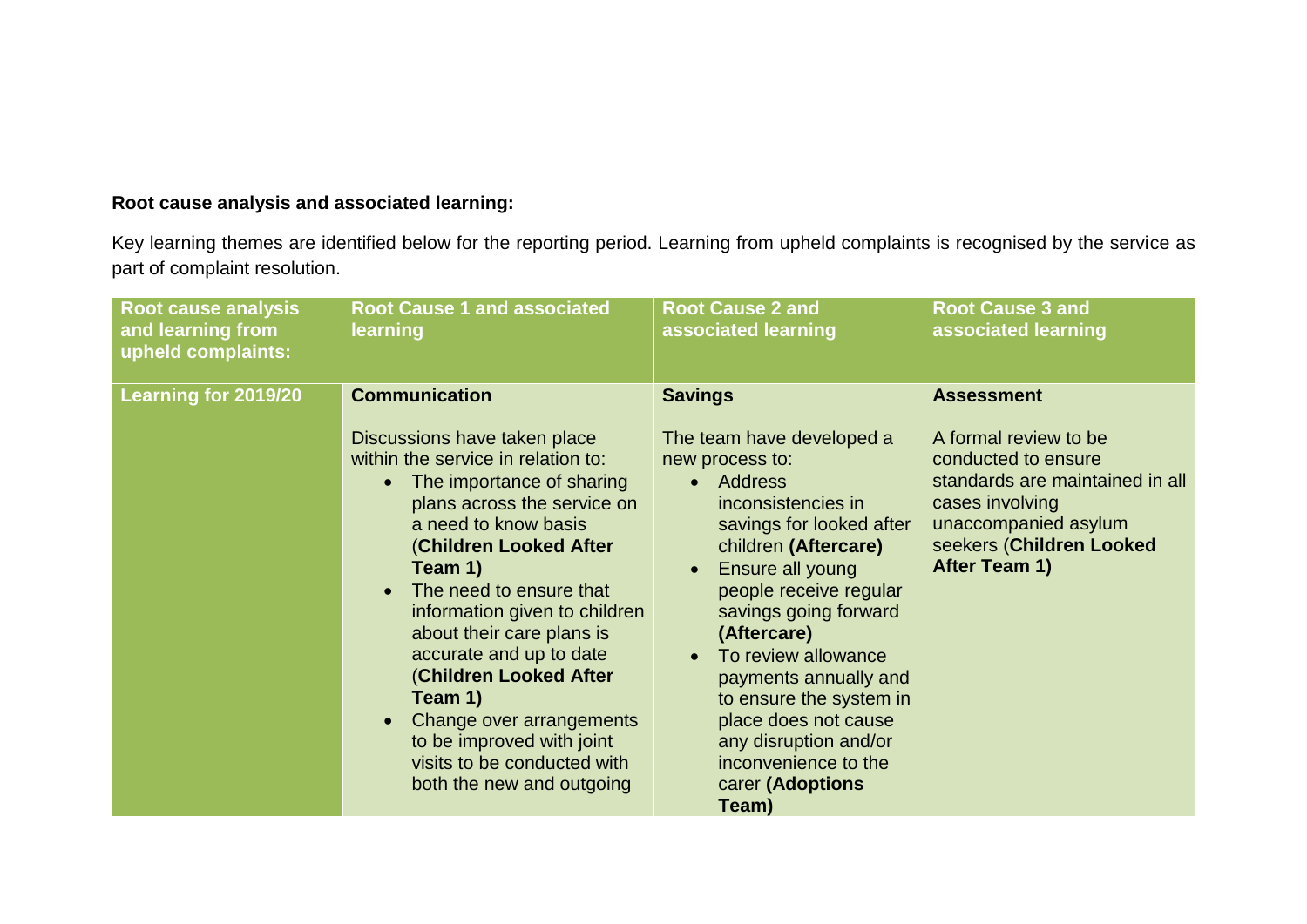## **Root cause analysis and associated learning:**

Key learning themes are identified below for the reporting period. Learning from upheld complaints is recognised by the service as part of complaint resolution.

| <b>Root cause analysis</b><br>and learning from<br>upheld complaints: | <b>Root Cause 1 and associated</b><br>learning                                                                                                                                                                                                                                                                                                                                                                                                                                                                  | <b>Root Cause 2 and</b><br>associated learning                                                                                                                                                                                                                                                                                                                                                                                    | <b>Root Cause 3 and</b><br>associated learning                                                                                                                                               |
|-----------------------------------------------------------------------|-----------------------------------------------------------------------------------------------------------------------------------------------------------------------------------------------------------------------------------------------------------------------------------------------------------------------------------------------------------------------------------------------------------------------------------------------------------------------------------------------------------------|-----------------------------------------------------------------------------------------------------------------------------------------------------------------------------------------------------------------------------------------------------------------------------------------------------------------------------------------------------------------------------------------------------------------------------------|----------------------------------------------------------------------------------------------------------------------------------------------------------------------------------------------|
| <b>Learning for 2019/20</b>                                           | <b>Communication</b><br>Discussions have taken place<br>within the service in relation to:<br>The importance of sharing<br>plans across the service on<br>a need to know basis<br><b>(Children Looked After</b><br>Team 1)<br>The need to ensure that<br>information given to children<br>about their care plans is<br>accurate and up to date<br><b>(Children Looked After</b><br>Team 1)<br>Change over arrangements<br>to be improved with joint<br>visits to be conducted with<br>both the new and outgoing | <b>Savings</b><br>The team have developed a<br>new process to:<br><b>Address</b><br>inconsistencies in<br>savings for looked after<br>children (Aftercare)<br>Ensure all young<br>people receive regular<br>savings going forward<br>(Aftercare)<br>To review allowance<br>payments annually and<br>to ensure the system in<br>place does not cause<br>any disruption and/or<br>inconvenience to the<br>carer (Adoptions<br>Team) | <b>Assessment</b><br>A formal review to be<br>conducted to ensure<br>standards are maintained in all<br>cases involving<br>unaccompanied asylum<br>seekers (Children Looked<br>After Team 1) |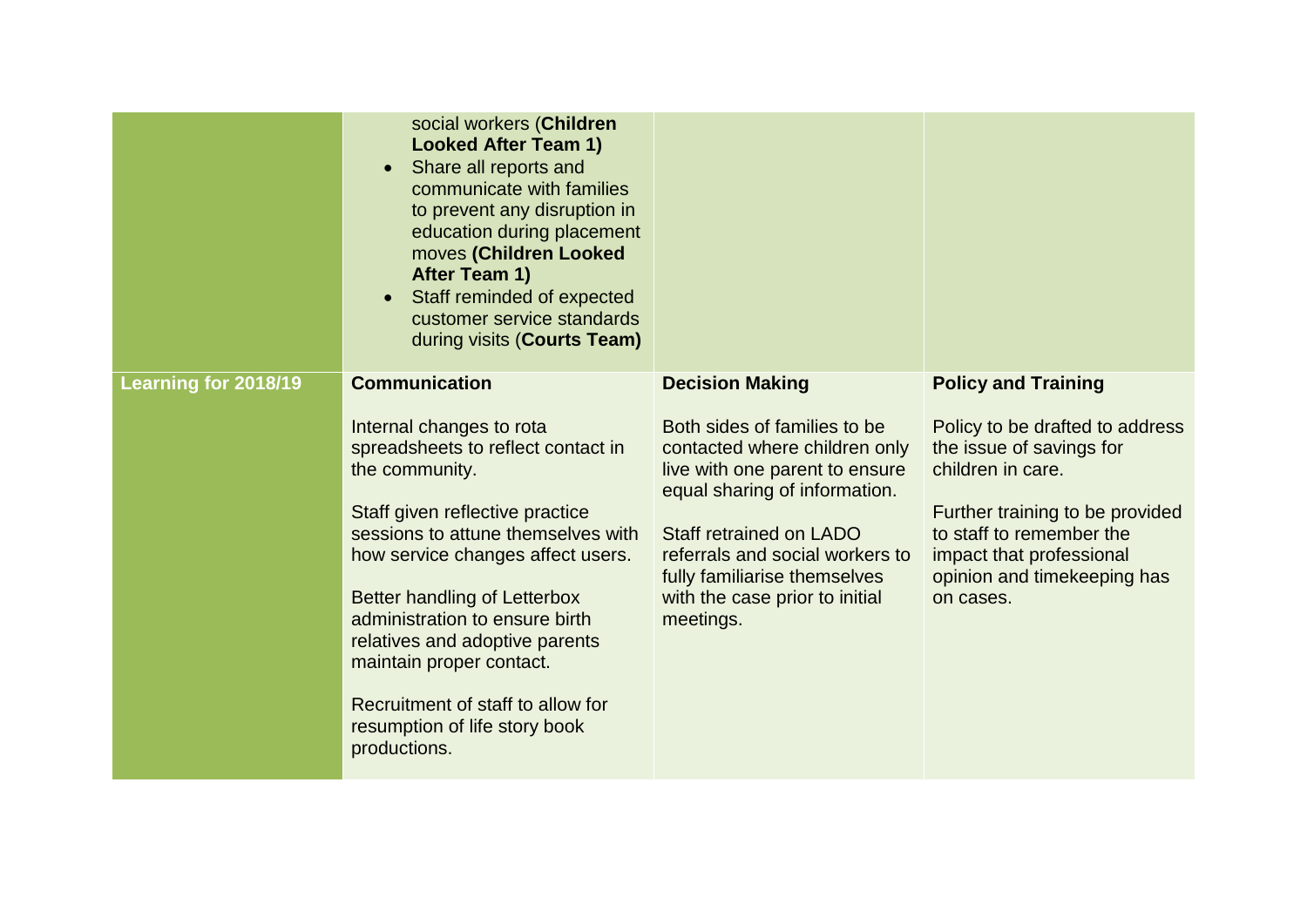|                      | social workers (Children<br><b>Looked After Team 1)</b><br>Share all reports and<br>communicate with families<br>to prevent any disruption in<br>education during placement<br>moves (Children Looked<br>After Team 1)<br>Staff reminded of expected<br>customer service standards<br>during visits (Courts Team)                                                                                                                                   |                                                                                                                                                                                                                                                                                                         |                                                                                                                                                                                                                                                       |
|----------------------|-----------------------------------------------------------------------------------------------------------------------------------------------------------------------------------------------------------------------------------------------------------------------------------------------------------------------------------------------------------------------------------------------------------------------------------------------------|---------------------------------------------------------------------------------------------------------------------------------------------------------------------------------------------------------------------------------------------------------------------------------------------------------|-------------------------------------------------------------------------------------------------------------------------------------------------------------------------------------------------------------------------------------------------------|
| Learning for 2018/19 | <b>Communication</b><br>Internal changes to rota<br>spreadsheets to reflect contact in<br>the community.<br>Staff given reflective practice<br>sessions to attune themselves with<br>how service changes affect users.<br><b>Better handling of Letterbox</b><br>administration to ensure birth<br>relatives and adoptive parents<br>maintain proper contact.<br>Recruitment of staff to allow for<br>resumption of life story book<br>productions. | <b>Decision Making</b><br>Both sides of families to be<br>contacted where children only<br>live with one parent to ensure<br>equal sharing of information.<br>Staff retrained on LADO<br>referrals and social workers to<br>fully familiarise themselves<br>with the case prior to initial<br>meetings. | <b>Policy and Training</b><br>Policy to be drafted to address<br>the issue of savings for<br>children in care.<br>Further training to be provided<br>to staff to remember the<br>impact that professional<br>opinion and timekeeping has<br>on cases. |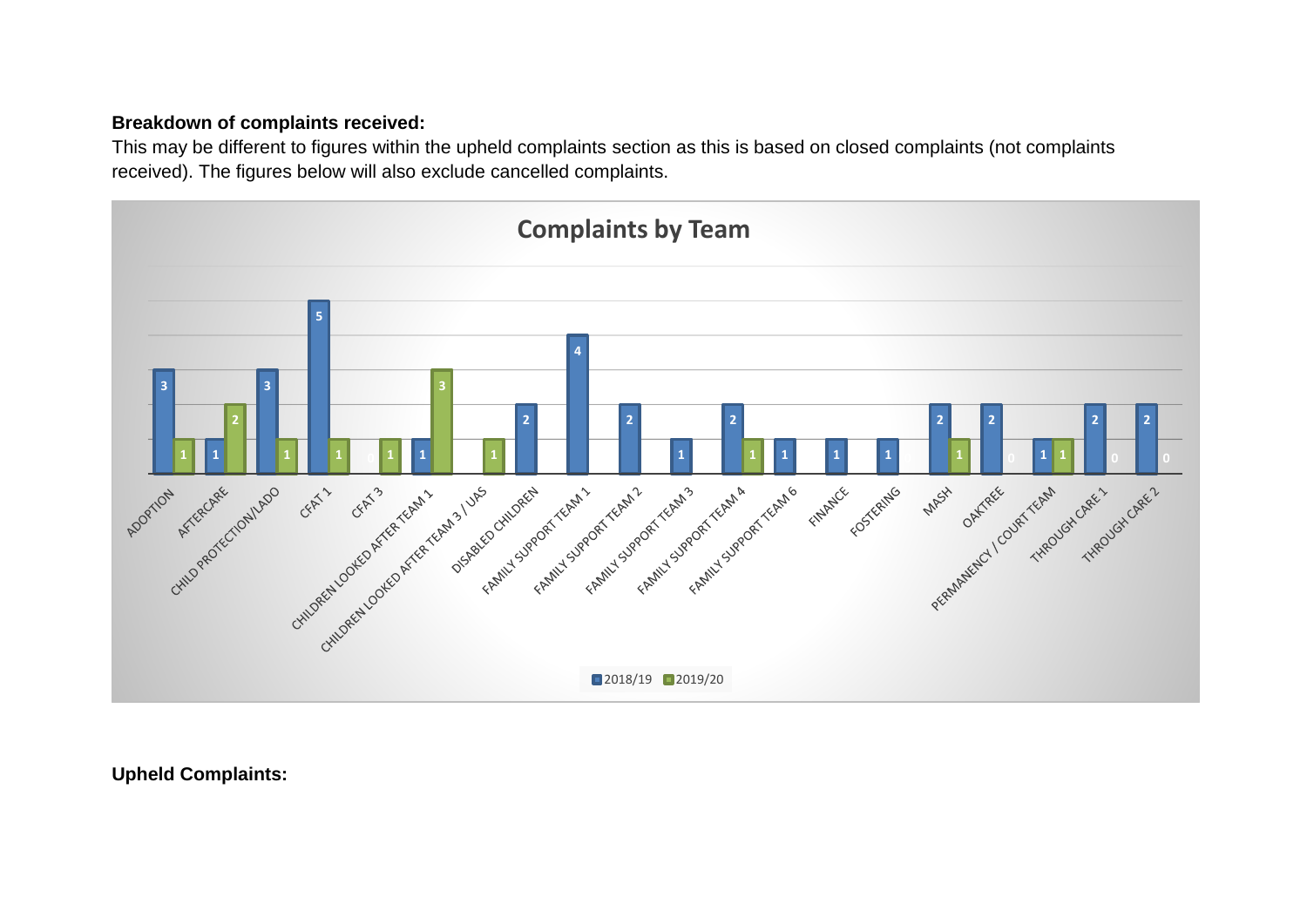## **Breakdown of complaints received:**

This may be different to figures within the upheld complaints section as this is based on closed complaints (not complaints received). The figures below will also exclude cancelled complaints.



**Upheld Complaints:**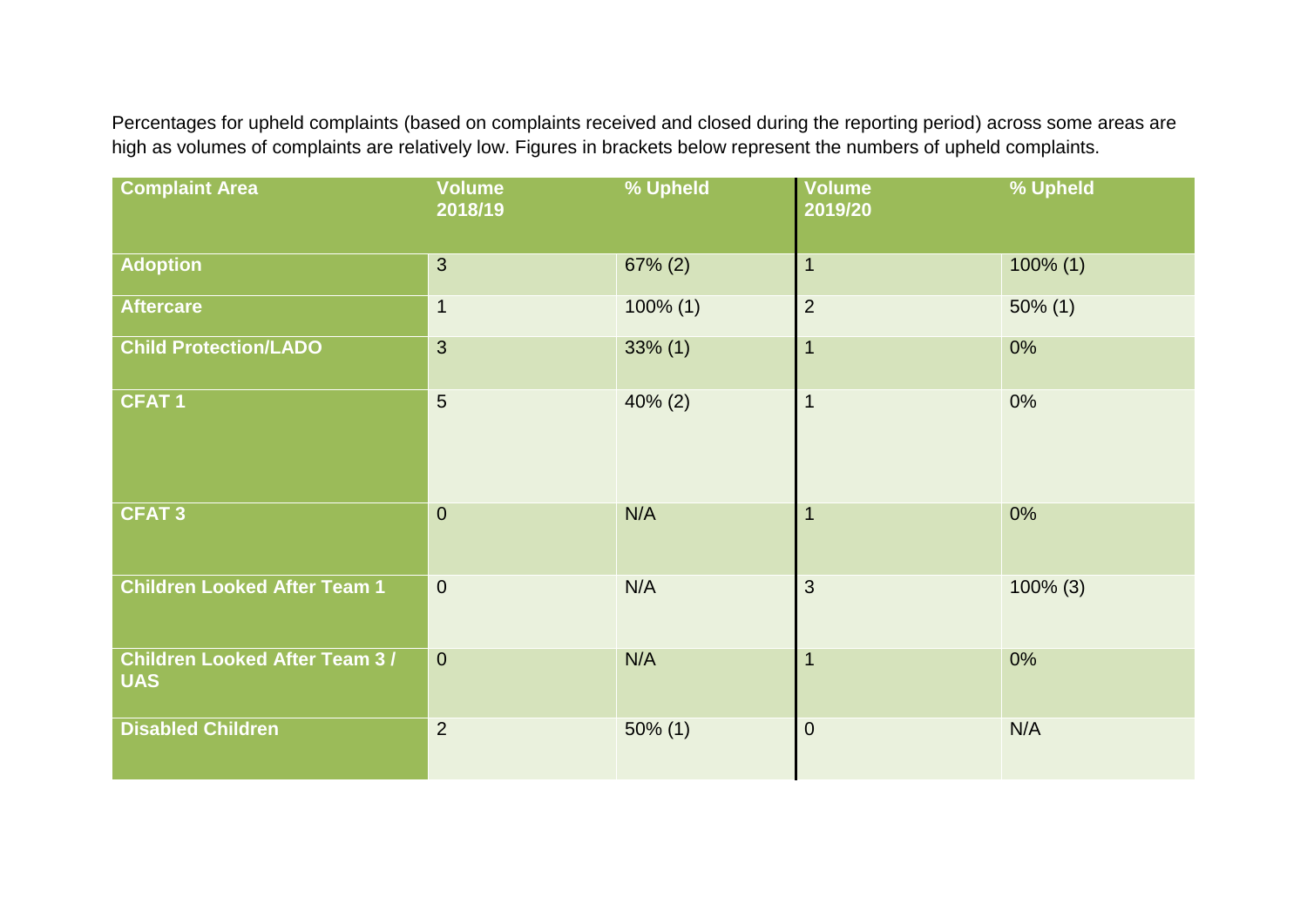Percentages for upheld complaints (based on complaints received and closed during the reporting period) across some areas are high as volumes of complaints are relatively low. Figures in brackets below represent the numbers of upheld complaints.

| <b>Complaint Area</b>                              | <b>Volume</b><br>2018/19 | % Upheld    | <b>Volume</b><br>2019/20 | % Upheld    |
|----------------------------------------------------|--------------------------|-------------|--------------------------|-------------|
| <b>Adoption</b>                                    | $\overline{3}$           | $67\% (2)$  | $\overline{1}$           | $100\%$ (1) |
| <b>Aftercare</b>                                   | $\mathbf 1$              | $100\%$ (1) | $\overline{2}$           | $50\%$ (1)  |
| <b>Child Protection/LADO</b>                       | $\mathbf{3}$             | $33\%$ (1)  | $\overline{1}$           | 0%          |
| <b>CFAT1</b>                                       | $5\phantom{.}$           | $40\% (2)$  | $\overline{1}$           | 0%          |
| <b>CFAT3</b>                                       | $\mathbf{0}$             | N/A         | $\overline{1}$           | 0%          |
| <b>Children Looked After Team 1</b>                | $\overline{0}$           | N/A         | 3                        | $100\%$ (3) |
| <b>Children Looked After Team 3/</b><br><b>UAS</b> | $\mathbf{0}$             | N/A         | $\overline{1}$           | 0%          |
| <b>Disabled Children</b>                           | $\overline{2}$           | $50\%$ (1)  | $\overline{0}$           | N/A         |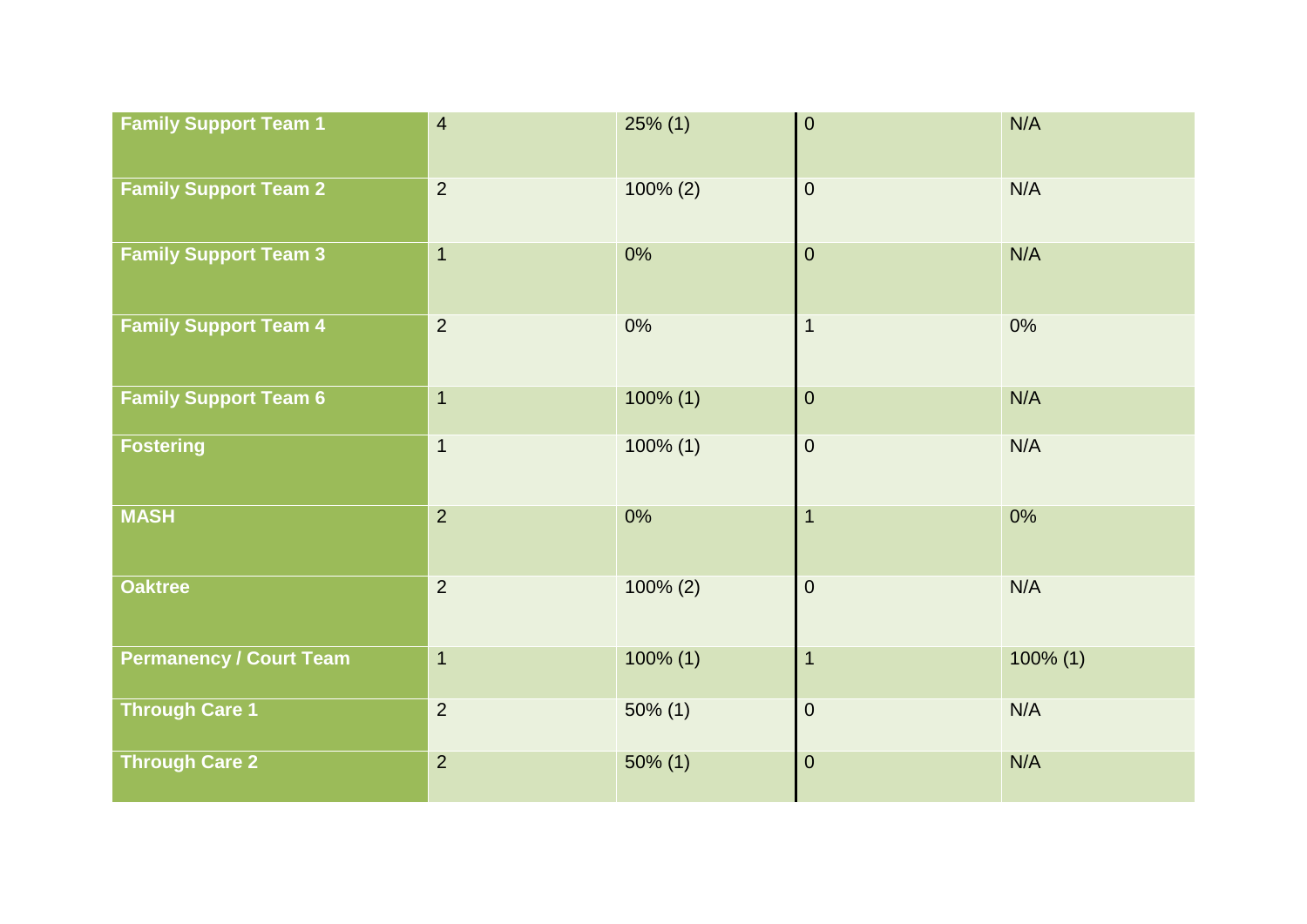| <b>Family Support Team 1</b>   | $\overline{4}$          | $25\%$ (1)  | $\boldsymbol{0}$ | N/A         |
|--------------------------------|-------------------------|-------------|------------------|-------------|
| <b>Family Support Team 2</b>   | $\overline{2}$          | $100\% (2)$ | $\pmb{0}$        | N/A         |
| <b>Family Support Team 3</b>   | $\overline{1}$          | 0%          | $\pmb{0}$        | N/A         |
| <b>Family Support Team 4</b>   | $\overline{2}$          | 0%          | $\mathbf{1}$     | 0%          |
| <b>Family Support Team 6</b>   | $\overline{1}$          | $100\%$ (1) | $\pmb{0}$        | N/A         |
| <b>Fostering</b>               | $\overline{\mathbf{1}}$ | $100\%$ (1) | $\pmb{0}$        | N/A         |
| <b>MASH</b>                    | $\overline{2}$          | $0\%$       | $\overline{1}$   | 0%          |
| <b>Oaktree</b>                 | $\overline{2}$          | $100\% (2)$ | $\pmb{0}$        | N/A         |
| <b>Permanency / Court Team</b> | $\overline{1}$          | $100\%$ (1) | $\mathbf{1}$     | $100\%$ (1) |
| <b>Through Care 1</b>          | $\overline{2}$          | $50\%$ (1)  | $\pmb{0}$        | N/A         |
| <b>Through Care 2</b>          | $\overline{2}$          | $50\%$ (1)  | $\pmb{0}$        | N/A         |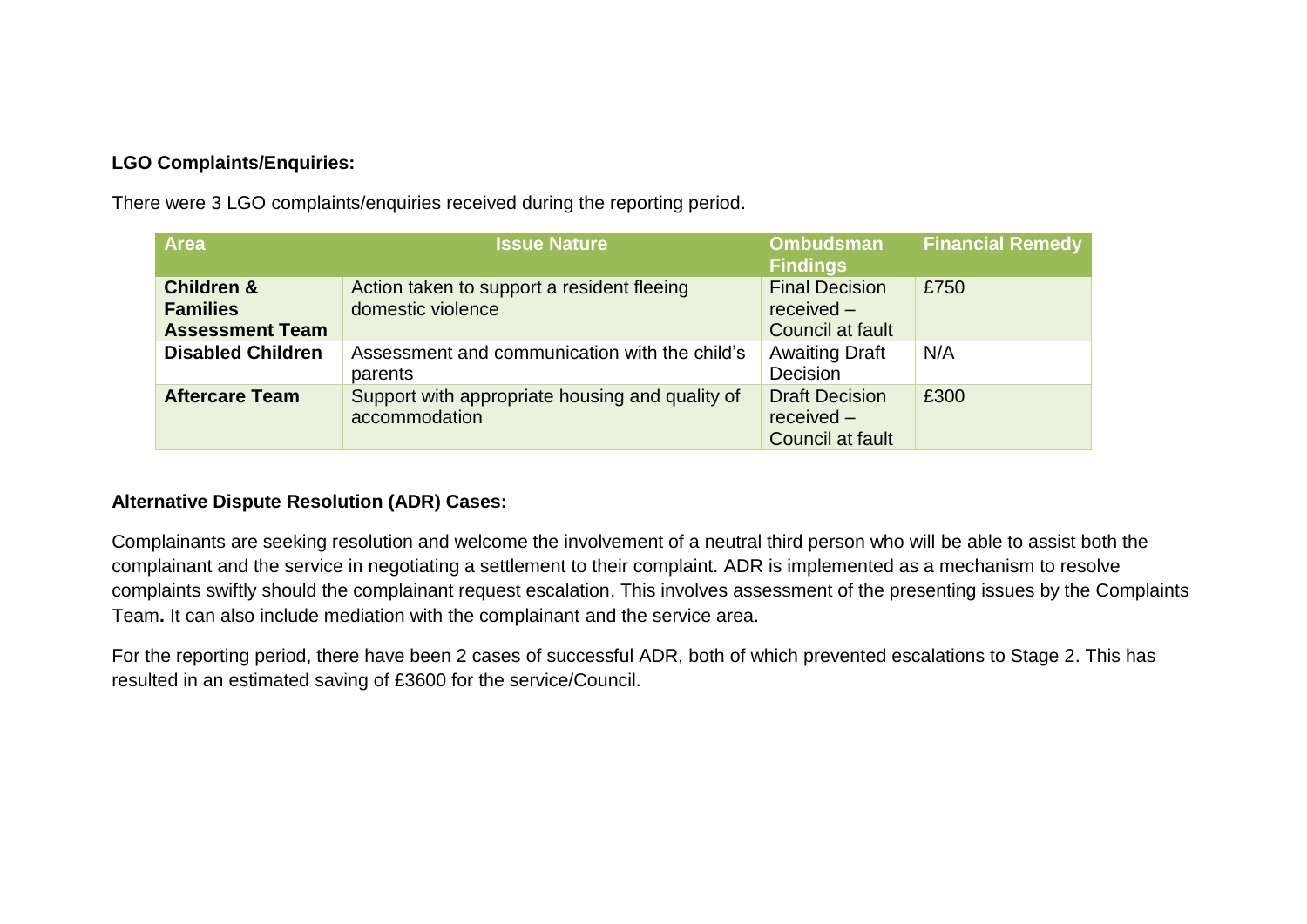## **LGO Complaints/Enquiries:**

There were 3 LGO complaints/enquiries received during the reporting period.

| <b>Area</b>                                                        | <b>Issue Nature</b>                                              | <b>Ombudsman</b><br><b>Findings</b>                       | <b>Financial Remedy</b> |
|--------------------------------------------------------------------|------------------------------------------------------------------|-----------------------------------------------------------|-------------------------|
| <b>Children &amp;</b><br><b>Families</b><br><b>Assessment Team</b> | Action taken to support a resident fleeing<br>domestic violence  | <b>Final Decision</b><br>$received -$<br>Council at fault | £750                    |
| <b>Disabled Children</b>                                           | Assessment and communication with the child's<br>parents         | <b>Awaiting Draft</b><br>Decision                         | N/A                     |
| <b>Aftercare Team</b>                                              | Support with appropriate housing and quality of<br>accommodation | <b>Draft Decision</b><br>$received -$<br>Council at fault | £300                    |

### **Alternative Dispute Resolution (ADR) Cases:**

Complainants are seeking resolution and welcome the involvement of a neutral third person who will be able to assist both the complainant and the service in negotiating a settlement to their complaint. ADR is implemented as a mechanism to resolve complaints swiftly should the complainant request escalation. This involves assessment of the presenting issues by the Complaints Team**.** It can also include mediation with the complainant and the service area.

For the reporting period, there have been 2 cases of successful ADR, both of which prevented escalations to Stage 2. This has resulted in an estimated saving of £3600 for the service/Council.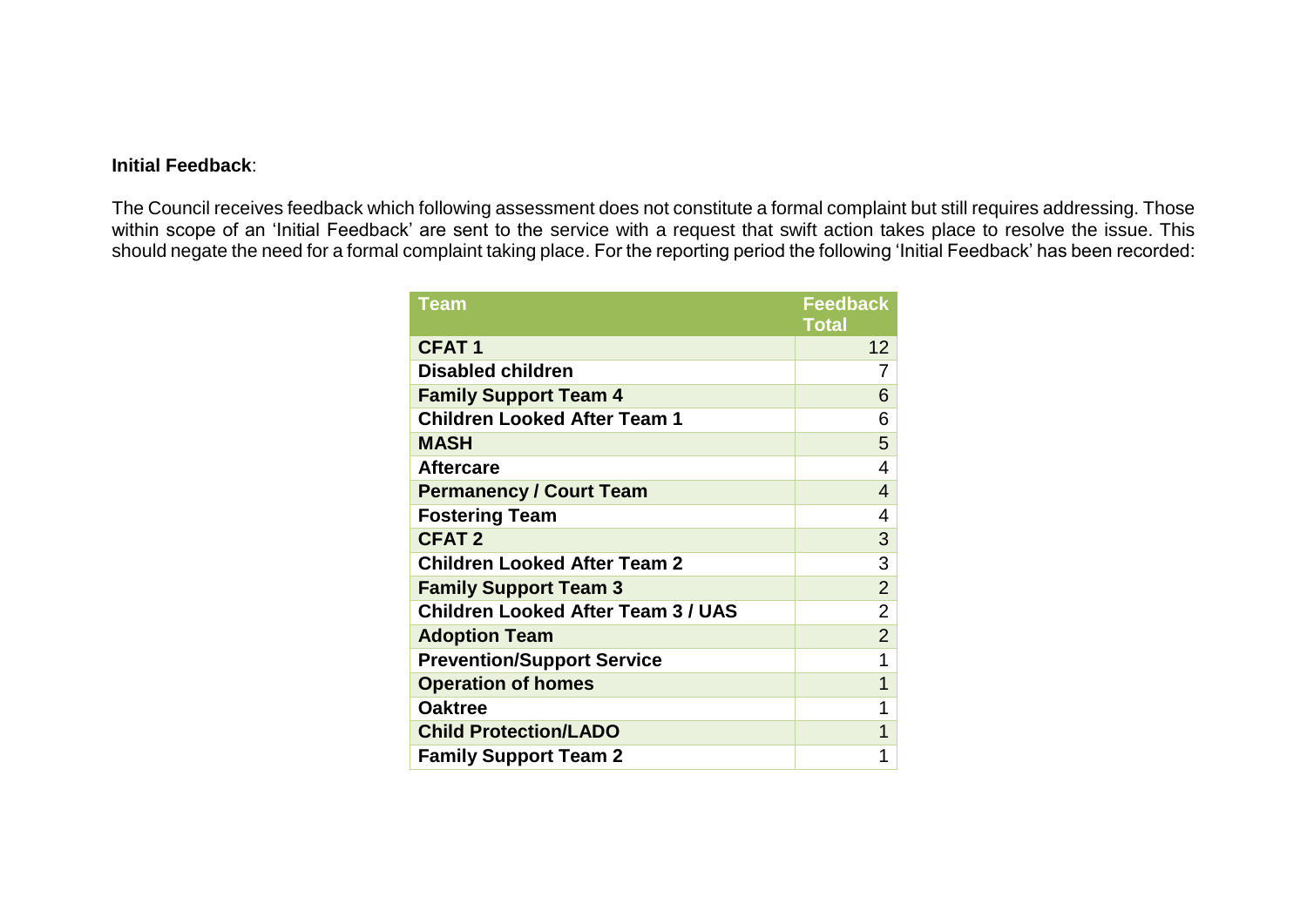#### **Initial Feedback**:

The Council receives feedback which following assessment does not constitute a formal complaint but still requires addressing. Those within scope of an 'Initial Feedback' are sent to the service with a request that swift action takes place to resolve the issue. This should negate the need for a formal complaint taking place. For the reporting period the following 'Initial Feedback' has been recorded:

| <b>Team</b>                               | <b>Feedback</b> |
|-------------------------------------------|-----------------|
|                                           | <b>Total</b>    |
| <b>CFAT1</b>                              | 12              |
| <b>Disabled children</b>                  | 7               |
| <b>Family Support Team 4</b>              | 6               |
| <b>Children Looked After Team 1</b>       | 6               |
| <b>MASH</b>                               | 5               |
| <b>Aftercare</b>                          | 4               |
| <b>Permanency / Court Team</b>            | $\overline{4}$  |
| <b>Fostering Team</b>                     | 4               |
| <b>CFAT2</b>                              | 3               |
| <b>Children Looked After Team 2</b>       | 3               |
| <b>Family Support Team 3</b>              | $\overline{2}$  |
| <b>Children Looked After Team 3 / UAS</b> | $\overline{2}$  |
| <b>Adoption Team</b>                      | $\overline{2}$  |
| <b>Prevention/Support Service</b>         | 1               |
| <b>Operation of homes</b>                 | 1               |
| <b>Oaktree</b>                            | 1               |
| <b>Child Protection/LADO</b>              | 1               |
| <b>Family Support Team 2</b>              | 1               |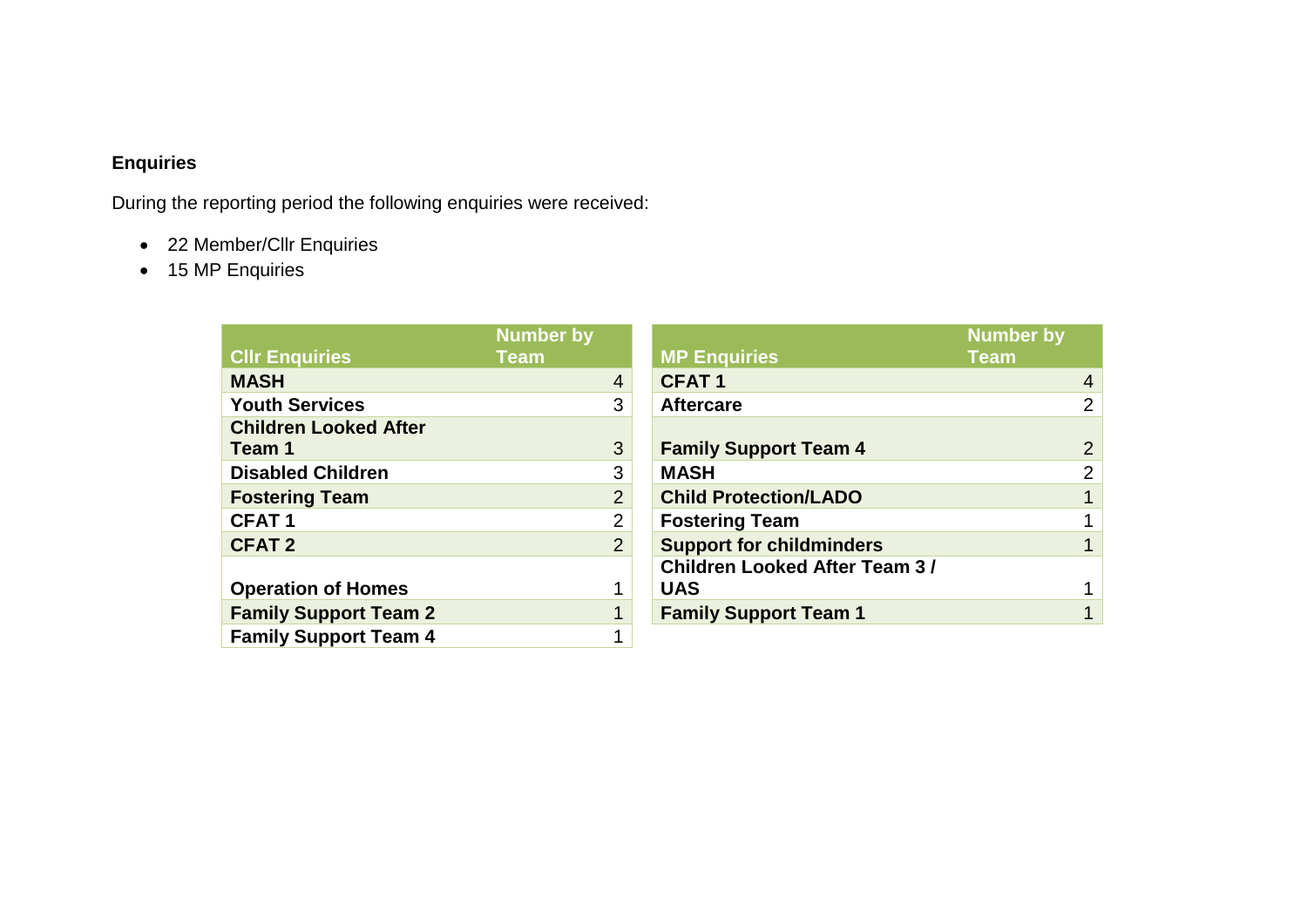## **Enquiries**

During the reporting period the following enquiries were received:

- 22 Member/Cllr Enquiries
- 15 MP Enquiries

|                              | <b>Number by</b> |                                      | <b>Number by</b> |                |
|------------------------------|------------------|--------------------------------------|------------------|----------------|
| <b>CIIr Enquiries</b>        | <b>Team</b>      | <b>MP Enquiries</b>                  | <b>Team</b>      |                |
| <b>MASH</b>                  | $\overline{4}$   | <b>CFAT1</b>                         |                  | $\overline{4}$ |
| <b>Youth Services</b>        | 3                | <b>Aftercare</b>                     |                  | $\overline{2}$ |
| <b>Children Looked After</b> |                  |                                      |                  |                |
| Team 1                       | 3                | <b>Family Support Team 4</b>         |                  | $\overline{2}$ |
| <b>Disabled Children</b>     | 3                | <b>MASH</b>                          |                  | $\overline{2}$ |
| <b>Fostering Team</b>        | $\overline{2}$   | <b>Child Protection/LADO</b>         |                  |                |
| <b>CFAT1</b>                 | $\overline{2}$   | <b>Fostering Team</b>                |                  |                |
| <b>CFAT 2</b>                | $\overline{2}$   | <b>Support for childminders</b>      |                  |                |
|                              |                  | <b>Children Looked After Team 3/</b> |                  |                |
| <b>Operation of Homes</b>    |                  | <b>UAS</b>                           |                  |                |
| <b>Family Support Team 2</b> |                  | <b>Family Support Team 1</b>         |                  |                |
| <b>Family Support Team 4</b> |                  |                                      |                  |                |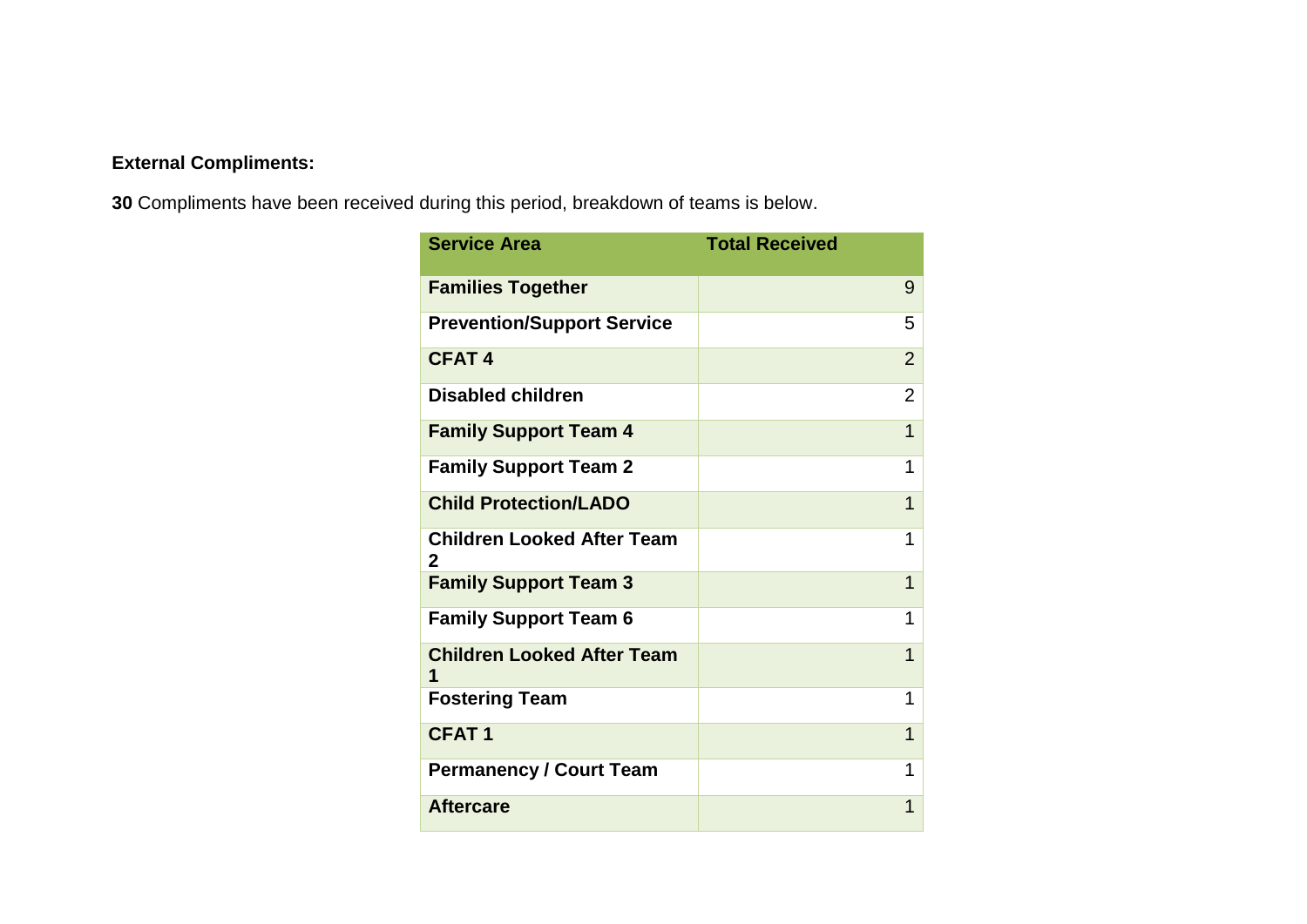# **External Compliments:**

**30** Compliments have been received during this period, breakdown of teams is below.

| <b>Service Area</b>                    | <b>Total Received</b> |
|----------------------------------------|-----------------------|
| <b>Families Together</b>               | 9                     |
| <b>Prevention/Support Service</b>      | 5                     |
| <b>CFAT4</b>                           | $\overline{2}$        |
| <b>Disabled children</b>               | $\overline{2}$        |
| <b>Family Support Team 4</b>           | $\overline{1}$        |
| <b>Family Support Team 2</b>           | 1                     |
| <b>Child Protection/LADO</b>           | $\overline{1}$        |
| <b>Children Looked After Team</b><br>2 | 1                     |
| <b>Family Support Team 3</b>           | 1                     |
| <b>Family Support Team 6</b>           | 1                     |
| <b>Children Looked After Team</b><br>1 | 1                     |
| <b>Fostering Team</b>                  | 1                     |
| <b>CFAT1</b>                           | 1                     |
| <b>Permanency / Court Team</b>         | 1                     |
| <b>Aftercare</b>                       | 1                     |